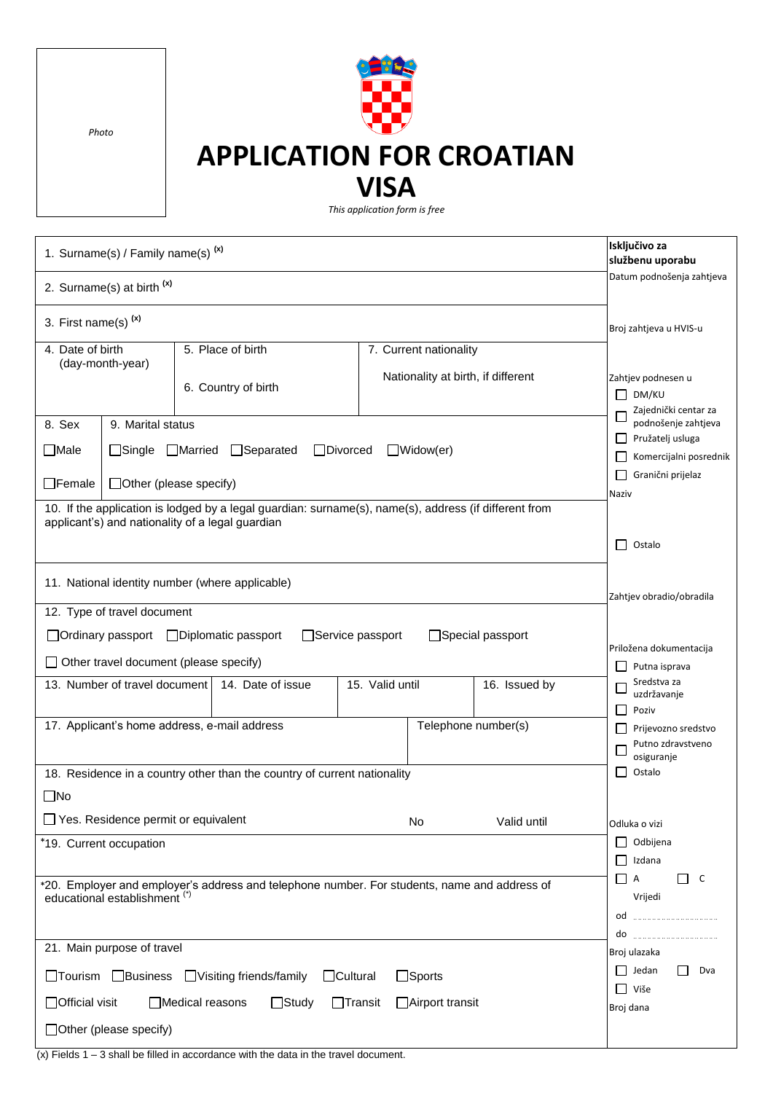*Photo*

## **APPLICATION FOR CROATIAN VISA**

*This application form is free*

| 1. Surname(s) / Family name(s) <sup>(x)</sup>                                                                                                                                                               |                                                                                                                                                                                                                                                                                  |                                          |                   |                 |                                                              |                                                                                 | Isključivo za<br>službenu uporabu                                               |  |  |  |
|-------------------------------------------------------------------------------------------------------------------------------------------------------------------------------------------------------------|----------------------------------------------------------------------------------------------------------------------------------------------------------------------------------------------------------------------------------------------------------------------------------|------------------------------------------|-------------------|-----------------|--------------------------------------------------------------|---------------------------------------------------------------------------------|---------------------------------------------------------------------------------|--|--|--|
| 2. Surname(s) at birth <sup>(x)</sup>                                                                                                                                                                       |                                                                                                                                                                                                                                                                                  |                                          |                   |                 |                                                              | Datum podnošenja zahtjeva                                                       |                                                                                 |  |  |  |
| 3. First name(s) <sup>(x)</sup>                                                                                                                                                                             | Broj zahtjeva u HVIS-u                                                                                                                                                                                                                                                           |                                          |                   |                 |                                                              |                                                                                 |                                                                                 |  |  |  |
| 4. Date of birth                                                                                                                                                                                            | (day-month-year)                                                                                                                                                                                                                                                                 | 5. Place of birth<br>6. Country of birth |                   |                 | 7. Current nationality<br>Nationality at birth, if different |                                                                                 | Zahtjev podnesen u<br>DM/KU                                                     |  |  |  |
| 8. Sex<br>$\Box$ Male<br>$\Box$ Female                                                                                                                                                                      | 9. Marital status<br>□Single □Married □Separated<br>$\Box$ Widow(er)<br>$\Box$ Divorced<br>□ Other (please specify)<br>10. If the application is lodged by a legal guardian: surname(s), name(s), address (if different from<br>applicant's) and nationality of a legal guardian |                                          |                   |                 |                                                              |                                                                                 |                                                                                 |  |  |  |
| 11. National identity number (where applicable)<br>12. Type of travel document                                                                                                                              |                                                                                                                                                                                                                                                                                  |                                          |                   |                 |                                                              |                                                                                 | Ostalo<br>$\perp$<br>Zahtjev obradio/obradila                                   |  |  |  |
| □ Service passport<br>□Special passport<br>□ Ordinary passport □ Diplomatic passport<br>$\Box$ Other travel document (please specify)                                                                       |                                                                                                                                                                                                                                                                                  |                                          |                   |                 |                                                              |                                                                                 | Priložena dokumentacija<br>Putna isprava                                        |  |  |  |
|                                                                                                                                                                                                             | 13. Number of travel document<br>17. Applicant's home address, e-mail address                                                                                                                                                                                                    |                                          | 14. Date of issue | 15. Valid until |                                                              | 16. Issued by<br>Telephone number(s)                                            | Sredstva za<br>uzdržavanje<br>Poziv<br>Prijevozno sredstvo<br>Putno zdravstveno |  |  |  |
| 18. Residence in a country other than the country of current nationality<br>$\Box$ No                                                                                                                       | osiguranje<br>Ostalo<br>ΙI                                                                                                                                                                                                                                                       |                                          |                   |                 |                                                              |                                                                                 |                                                                                 |  |  |  |
| □ Yes. Residence permit or equivalent<br>Valid until<br>No<br>*19. Current occupation                                                                                                                       |                                                                                                                                                                                                                                                                                  |                                          |                   |                 |                                                              |                                                                                 | Odluka o vizi<br>$\Box$ Odbijena<br>Izdana                                      |  |  |  |
| *20. Employer and employer's address and telephone number. For students, name and address of<br>educational establishment <sup>(*)</sup>                                                                    |                                                                                                                                                                                                                                                                                  |                                          |                   |                 |                                                              | $\Box$ c<br>$\Box$ A<br>Vrijedi<br>od<br>do                                     |                                                                                 |  |  |  |
| 21. Main purpose of travel<br>□Tourism □Business □Visiting friends/family<br>$\Box$ Cultural<br>$\Box$ Sports<br>□ Official visit<br>Medical reasons<br>$\Box$ Study<br>$\Box$ Transit<br>□ Airport transit |                                                                                                                                                                                                                                                                                  |                                          |                   |                 |                                                              | Broj ulazaka<br>$\Box$ Jedan<br>$\mathsf{L}$<br>Dva<br>$\Box$ Više<br>Broj dana |                                                                                 |  |  |  |
| $\Box$ Other (please specify)                                                                                                                                                                               |                                                                                                                                                                                                                                                                                  |                                          |                   |                 |                                                              |                                                                                 |                                                                                 |  |  |  |

 $\frac{1}{x}$  Fields 1 – 3 shall be filled in accordance with the data in the travel document.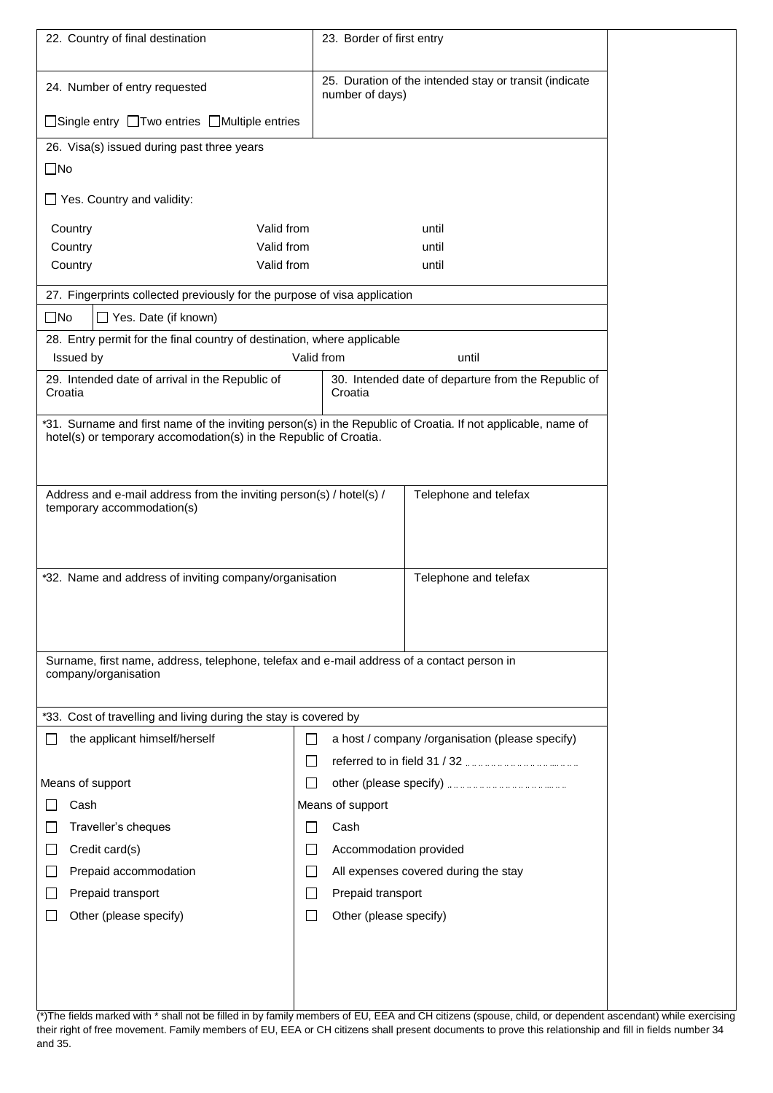| 22. Country of final destination                                                                                                                                                  | 23. Border of first entry                                                  |  |  |  |  |  |
|-----------------------------------------------------------------------------------------------------------------------------------------------------------------------------------|----------------------------------------------------------------------------|--|--|--|--|--|
| 24. Number of entry requested                                                                                                                                                     | 25. Duration of the intended stay or transit (indicate<br>number of days)  |  |  |  |  |  |
| □Single entry □Two entries □Multiple entries                                                                                                                                      |                                                                            |  |  |  |  |  |
| 26. Visa(s) issued during past three years                                                                                                                                        |                                                                            |  |  |  |  |  |
| $\square$ No                                                                                                                                                                      |                                                                            |  |  |  |  |  |
| $\Box$ Yes. Country and validity:                                                                                                                                                 |                                                                            |  |  |  |  |  |
| Valid from<br>Country                                                                                                                                                             | until                                                                      |  |  |  |  |  |
| Valid from<br>Country                                                                                                                                                             | until                                                                      |  |  |  |  |  |
| Valid from<br>Country                                                                                                                                                             | until                                                                      |  |  |  |  |  |
| 27. Fingerprints collected previously for the purpose of visa application                                                                                                         |                                                                            |  |  |  |  |  |
| $\square$ No<br>$\Box$ Yes. Date (if known)                                                                                                                                       |                                                                            |  |  |  |  |  |
| 28. Entry permit for the final country of destination, where applicable                                                                                                           |                                                                            |  |  |  |  |  |
| Issued by                                                                                                                                                                         | Valid from<br>until<br>30. Intended date of departure from the Republic of |  |  |  |  |  |
| 29. Intended date of arrival in the Republic of<br>Croatia                                                                                                                        |                                                                            |  |  |  |  |  |
| *31. Surname and first name of the inviting person(s) in the Republic of Croatia. If not applicable, name of<br>hotel(s) or temporary accomodation(s) in the Republic of Croatia. |                                                                            |  |  |  |  |  |
| Address and e-mail address from the inviting person(s) / hotel(s) /<br>Telephone and telefax<br>temporary accommodation(s)                                                        |                                                                            |  |  |  |  |  |
| *32. Name and address of inviting company/organisation<br>Telephone and telefax<br>Surname, first name, address, telephone, telefax and e-mail address of a contact person in     |                                                                            |  |  |  |  |  |
| company/organisation                                                                                                                                                              |                                                                            |  |  |  |  |  |
| *33. Cost of travelling and living during the stay is covered by                                                                                                                  |                                                                            |  |  |  |  |  |
| the applicant himself/herself                                                                                                                                                     | a host / company /organisation (please specify)<br>$\mathbf{I}$            |  |  |  |  |  |
|                                                                                                                                                                                   |                                                                            |  |  |  |  |  |
| Means of support                                                                                                                                                                  |                                                                            |  |  |  |  |  |
| Cash                                                                                                                                                                              | Means of support                                                           |  |  |  |  |  |
| Traveller's cheques                                                                                                                                                               | Cash                                                                       |  |  |  |  |  |
| Credit card(s)                                                                                                                                                                    | Accommodation provided                                                     |  |  |  |  |  |
| Prepaid accommodation                                                                                                                                                             | All expenses covered during the stay                                       |  |  |  |  |  |
| Prepaid transport<br>$\mathsf{I}$                                                                                                                                                 | Prepaid transport<br>$\mathsf{I}$                                          |  |  |  |  |  |
| Other (please specify)                                                                                                                                                            | Other (please specify)<br>$\mathbf{I}$                                     |  |  |  |  |  |
|                                                                                                                                                                                   |                                                                            |  |  |  |  |  |
|                                                                                                                                                                                   |                                                                            |  |  |  |  |  |

(\*)The fields marked with \* shall not be filled in by family members of EU, EEA and CH citizens (spouse, child, or dependent ascendant) while exercising their right of free movement. Family members of EU, EEA or CH citizens shall present documents to prove this relationship and fill in fields number 34 and 35.